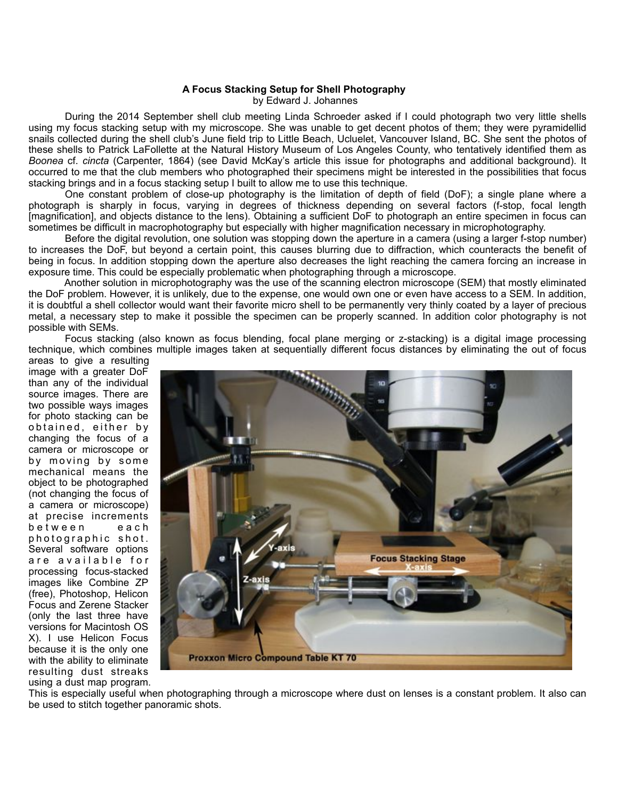## **A Focus Stacking Setup for Shell Photography**

by Edward J. Johannes

 During the 2014 September shell club meeting Linda Schroeder asked if I could photograph two very little shells using my focus stacking setup with my microscope. She was unable to get decent photos of them; they were pyramidellid snails collected during the shell club's June field trip to Little Beach, Ucluelet, Vancouver Island, BC. She sent the photos of these shells to Patrick LaFollette at the Natural History Museum of Los Angeles County, who tentatively identified them as *Boonea* cf. *cincta* (Carpenter, 1864) (see David McKay's article this issue for photographs and additional background). It occurred to me that the club members who photographed their specimens might be interested in the possibilities that focus stacking brings and in a focus stacking setup I built to allow me to use this technique.

 One constant problem of close-up photography is the limitation of depth of field (DoF); a single plane where a photograph is sharply in focus, varying in degrees of thickness depending on several factors (f-stop, focal length [magnification], and objects distance to the lens). Obtaining a sufficient DoF to photograph an entire specimen in focus can sometimes be difficult in macrophotography but especially with higher magnification necessary in microphotography.

 Before the digital revolution, one solution was stopping down the aperture in a camera (using a larger f-stop number) to increases the DoF, but beyond a certain point, this causes blurring due to diffraction, which counteracts the benefit of being in focus. In addition stopping down the aperture also decreases the light reaching the camera forcing an increase in exposure time. This could be especially problematic when photographing through a microscope.

 Another solution in microphotography was the use of the scanning electron microscope (SEM) that mostly eliminated the DoF problem. However, it is unlikely, due to the expense, one would own one or even have access to a SEM. In addition, it is doubtful a shell collector would want their favorite micro shell to be permanently very thinly coated by a layer of precious metal, a necessary step to make it possible the specimen can be properly scanned. In addition color photography is not possible with SEMs.

 Focus stacking (also known as focus blending, focal plane merging or z-stacking) is a digital image processing technique, which combines multiple images taken at sequentially different focus distances by eliminating the out of focus

areas to give a resulting image with a greater DoF than any of the individual source images. There are two possible ways images for photo stacking can be obtained, either by changing the focus of a camera or microscope or by moving by some mechanical means the object to be photographed (not changing the focus of a camera or microscope) at precise increments b e t w e e n e a c h photographic shot. Several software options are available for processing focus-stacked images like Combine ZP (free), Photoshop, Helicon Focus and Zerene Stacker (only the last three have versions for Macintosh OS X). I use Helicon Focus because it is the only one with the ability to eliminate resulting dust streaks using a dust map program.



This is especially useful when photographing through a microscope where dust on lenses is a constant problem. It also can be used to stitch together panoramic shots.